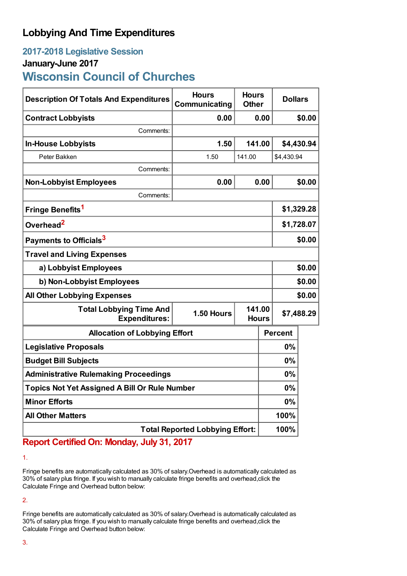## **Lobbying And Time Expenditures**

# **2017-2018 Legislative Session**

## **January-June 2017**

## **Wisconsin Council of Churches**

| <b>Description Of Totals And Expenditures</b>          | <b>Hours</b><br>Communicating | <b>Hours</b><br><b>Other</b> | <b>Dollars</b> |            |  |
|--------------------------------------------------------|-------------------------------|------------------------------|----------------|------------|--|
| <b>Contract Lobbyists</b>                              | 0.00                          |                              | 0.00           | \$0.00     |  |
| Comments:                                              |                               |                              |                |            |  |
| <b>In-House Lobbyists</b>                              | 1.50                          | 141.00                       |                | \$4,430.94 |  |
| Peter Bakken                                           | 1.50                          | 141.00                       | \$4,430.94     |            |  |
| Comments:                                              |                               |                              |                |            |  |
| <b>Non-Lobbyist Employees</b>                          | 0.00                          |                              | 0.00           | \$0.00     |  |
| Comments:                                              |                               |                              |                |            |  |
| Fringe Benefits <sup>1</sup>                           |                               |                              | \$1,329.28     |            |  |
| Overhead <sup>2</sup>                                  |                               |                              |                | \$1,728.07 |  |
| Payments to Officials <sup>3</sup>                     |                               |                              |                | \$0.00     |  |
| <b>Travel and Living Expenses</b>                      |                               |                              |                |            |  |
| a) Lobbyist Employees                                  |                               |                              |                | \$0.00     |  |
| b) Non-Lobbyist Employees                              |                               |                              |                | \$0.00     |  |
| <b>All Other Lobbying Expenses</b>                     |                               |                              |                | \$0.00     |  |
| <b>Total Lobbying Time And</b><br><b>Expenditures:</b> | 1.50 Hours                    | 141.00<br><b>Hours</b>       |                | \$7,488.29 |  |
| <b>Allocation of Lobbying Effort</b>                   |                               |                              | <b>Percent</b> |            |  |
| <b>Legislative Proposals</b>                           |                               |                              | 0%             |            |  |
| <b>Budget Bill Subjects</b>                            |                               |                              | 0%             |            |  |
| <b>Administrative Rulemaking Proceedings</b>           |                               |                              | 0%             |            |  |
| <b>Topics Not Yet Assigned A Bill Or Rule Number</b>   |                               |                              | 0%             |            |  |
| <b>Minor Efforts</b>                                   |                               |                              | 0%             |            |  |
| <b>All Other Matters</b>                               |                               |                              | 100%           |            |  |
| <b>Total Reported Lobbying Effort:</b>                 |                               |                              | 100%           |            |  |

### **Report Certified On: Monday, July 31, 2017**

1.

Fringe benefits are automatically calculated as 30% of salary.Overhead is automatically calculated as 30% of salary plus fringe. If you wish to manually calculate fringe benefits and overhead,click the Calculate Fringe and Overhead button below:

2.

Fringe benefits are automatically calculated as 30% of salary.Overhead is automatically calculated as 30% of salary plus fringe. If you wish to manually calculate fringe benefits and overhead,click the Calculate Fringe and Overhead button below: